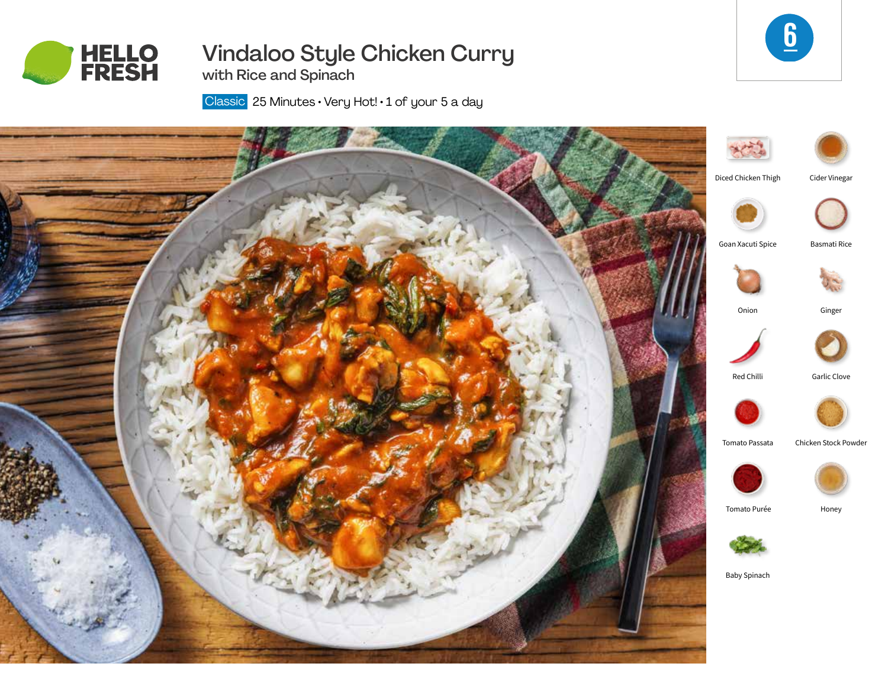

# Vindaloo Style Chicken Curry



with Rice and Spinach

Classic 25 Minutes · Very Hot! · 1 of your 5 a day